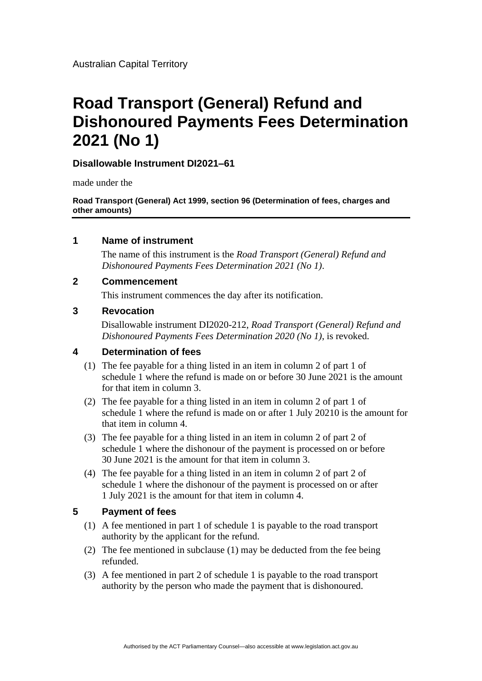# **Road Transport (General) Refund and Dishonoured Payments Fees Determination 2021 (No 1)**

## **Disallowable Instrument DI2021–61**

made under the

**Road Transport (General) Act 1999, section 96 (Determination of fees, charges and other amounts)**

## **1 Name of instrument**

The name of this instrument is the *Road Transport (General) Refund and Dishonoured Payments Fees Determination 2021 (No 1)*.

## **2 Commencement**

This instrument commences the day after its notification.

#### **3 Revocation**

Disallowable instrument DI2020-212, *Road Transport (General) Refund and Dishonoured Payments Fees Determination 2020 (No 1)*, is revoked.

#### **4 Determination of fees**

- (1) The fee payable for a thing listed in an item in column 2 of part 1 of schedule 1 where the refund is made on or before 30 June 2021 is the amount for that item in column 3.
- (2) The fee payable for a thing listed in an item in column 2 of part 1 of schedule 1 where the refund is made on or after 1 July 20210 is the amount for that item in column 4.
- (3) The fee payable for a thing listed in an item in column 2 of part 2 of schedule 1 where the dishonour of the payment is processed on or before 30 June 2021 is the amount for that item in column 3.
- (4) The fee payable for a thing listed in an item in column 2 of part 2 of schedule 1 where the dishonour of the payment is processed on or after 1 July 2021 is the amount for that item in column 4.

## **5 Payment of fees**

- (1) A fee mentioned in part 1 of schedule 1 is payable to the road transport authority by the applicant for the refund.
- (2) The fee mentioned in subclause (1) may be deducted from the fee being refunded.
- (3) A fee mentioned in part 2 of schedule 1 is payable to the road transport authority by the person who made the payment that is dishonoured.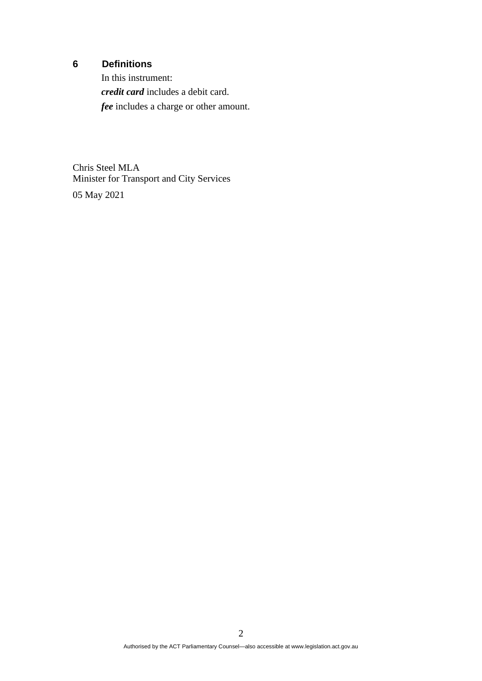# **6 Definitions**

In this instrument: *credit card* includes a debit card. *fee* includes a charge or other amount.

Chris Steel MLA Minister for Transport and City Services

05 May 2021